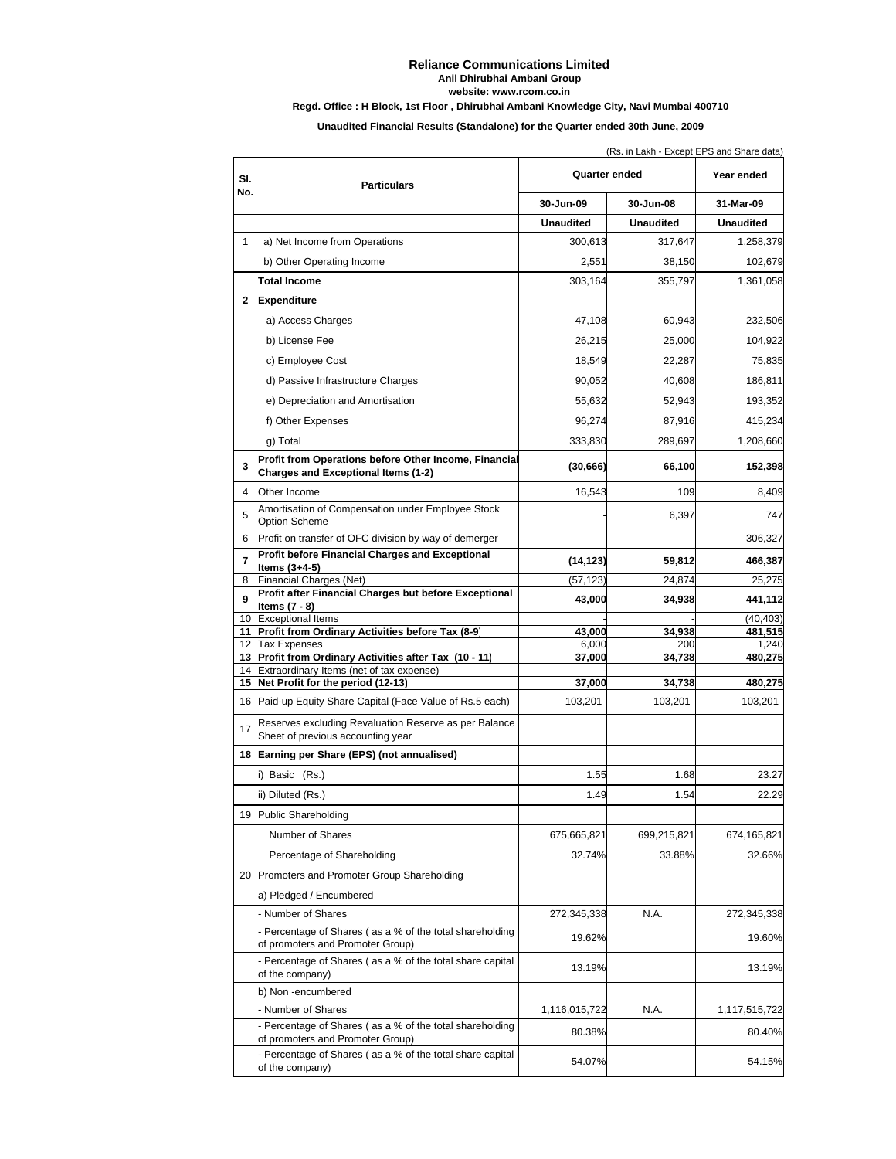## **Reliance Communications Limited Anil Dhirubhai Ambani Group website: www.rcom.co.in**

## **Regd. Office : H Block, 1st Floor , Dhirubhai Ambani Knowledge City, Navi Mumbai 400710**

**Unaudited Financial Results (Standalone) for the Quarter ended 30th June, 2009**

(Rs. in Lakh - Except EPS and Share data)

| SI.          | <b>Particulars</b>                                                                              | Quarter ended    |                  | Year ended       |
|--------------|-------------------------------------------------------------------------------------------------|------------------|------------------|------------------|
| No.          |                                                                                                 | 30-Jun-09        | 30-Jun-08        | 31-Mar-09        |
|              |                                                                                                 | <b>Unaudited</b> | <b>Unaudited</b> | <b>Unaudited</b> |
| $\mathbf{1}$ | a) Net Income from Operations                                                                   | 300,613          | 317,647          | 1,258,379        |
|              | b) Other Operating Income                                                                       | 2,551            | 38,150           | 102,679          |
|              | <b>Total Income</b>                                                                             | 303,164          | 355,797          | 1,361,058        |
| $\mathbf{2}$ | <b>Expenditure</b>                                                                              |                  |                  |                  |
|              | a) Access Charges                                                                               | 47,108           | 60,943           | 232,506          |
|              | b) License Fee                                                                                  | 26,215           | 25,000           | 104,922          |
|              | c) Employee Cost                                                                                | 18,549           | 22,287           | 75,835           |
|              | d) Passive Infrastructure Charges                                                               | 90,052           | 40,608           | 186,811          |
|              | e) Depreciation and Amortisation                                                                | 55,632           | 52,943           | 193,352          |
|              | f) Other Expenses                                                                               | 96,274           | 87,916           | 415,234          |
|              | g) Total                                                                                        | 333,830          | 289,697          |                  |
|              | Profit from Operations before Other Income, Financial                                           |                  |                  | 1,208,660        |
| 3            | <b>Charges and Exceptional Items (1-2)</b>                                                      | (30, 666)        | 66,100           | 152,398          |
| 4            | Other Income                                                                                    | 16,543           | 109              | 8,409            |
| 5            | Amortisation of Compensation under Employee Stock<br><b>Option Scheme</b>                       |                  | 6,397            | 747              |
| 6            | Profit on transfer of OFC division by way of demerger                                           |                  |                  | 306,327          |
| 7            | <b>Profit before Financial Charges and Exceptional</b>                                          | (14, 123)        | 59,812           | 466,387          |
| 8            | Items (3+4-5)<br>Financial Charges (Net)                                                        | (57, 123)        | 24,874           | 25,275           |
| 9            | Profit after Financial Charges but before Exceptional                                           | 43,000           | 34,938           | 441,112          |
| 10           | Items $(7 - 8)$<br><b>Exceptional Items</b>                                                     |                  |                  | (40,403)         |
| 11           | Profit from Ordinary Activities before Tax (8-9)                                                | 43,000           | 34,938           | 481,515          |
| 12           | <b>Tax Expenses</b>                                                                             | 6,000            | 200              | 1,240            |
| 13<br>14     | Profit from Ordinary Activities after Tax (10 - 11)<br>Extraordinary Items (net of tax expense) | 37,000           | 34,738           | 480,275          |
| 15           | Net Profit for the period (12-13)                                                               | 37,000           | 34,738           | 480,275          |
| 16           | Paid-up Equity Share Capital (Face Value of Rs.5 each)                                          | 103,201          | 103,201          | 103,201          |
| 17           | Reserves excluding Revaluation Reserve as per Balance<br>Sheet of previous accounting year      |                  |                  |                  |
| 18           | Earning per Share (EPS) (not annualised)                                                        |                  |                  |                  |
|              | i) Basic (Rs.)                                                                                  | 1.55             | 1.68             | 23.27            |
|              | ii) Diluted (Rs.)                                                                               | 1.49             | 1.54             | 22.29            |
|              | 19 Public Shareholding                                                                          |                  |                  |                  |
|              | Number of Shares                                                                                | 675,665,821      | 699,215,821      | 674,165,821      |
|              | Percentage of Shareholding                                                                      | 32.74%           | 33.88%           | 32.66%           |
| 20           | Promoters and Promoter Group Shareholding                                                       |                  |                  |                  |
|              |                                                                                                 |                  |                  |                  |
|              | a) Pledged / Encumbered                                                                         |                  |                  |                  |
|              | - Number of Shares<br>- Percentage of Shares (as a % of the total shareholding                  | 272,345,338      | N.A.             | 272,345,338      |
|              | of promoters and Promoter Group)                                                                | 19.62%           |                  | 19.60%           |
|              | - Percentage of Shares (as a % of the total share capital<br>of the company)                    | 13.19%           |                  | 13.19%           |
|              | b) Non -encumbered                                                                              |                  |                  |                  |
|              | - Number of Shares                                                                              | 1,116,015,722    | N.A.             | 1,117,515,722    |
|              | Percentage of Shares (as a % of the total shareholding<br>of promoters and Promoter Group)      | 80.38%           |                  | 80.40%           |
|              | - Percentage of Shares (as a % of the total share capital<br>of the company)                    | 54.07%           |                  | 54.15%           |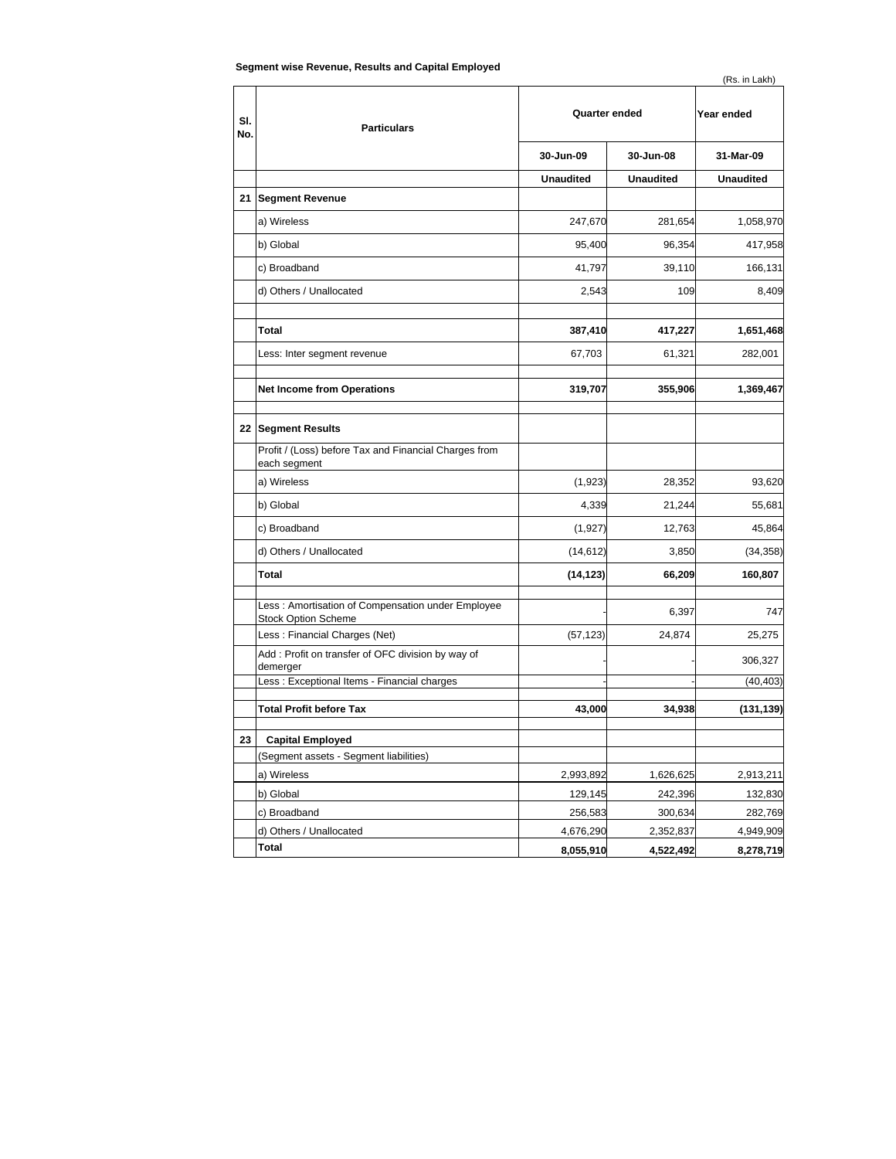| SI.<br>No. | <b>Particulars</b>                                                              | Quarter ended    |                  | Year ended       |
|------------|---------------------------------------------------------------------------------|------------------|------------------|------------------|
|            |                                                                                 | 30-Jun-09        | 30-Jun-08        | 31-Mar-09        |
|            |                                                                                 | <b>Unaudited</b> | <b>Unaudited</b> | <b>Unaudited</b> |
|            | 21 Segment Revenue                                                              |                  |                  |                  |
|            | a) Wireless                                                                     | 247,670          | 281,654          | 1,058,970        |
|            | b) Global                                                                       | 95,400           | 96,354           | 417,958          |
|            | c) Broadband                                                                    | 41,797           | 39,110           | 166,131          |
|            | d) Others / Unallocated                                                         | 2,543            | 109              | 8,409            |
|            | Total                                                                           | 387,410          | 417,227          | 1,651,468        |
|            | Less: Inter segment revenue                                                     | 67,703           | 61,321           | 282,001          |
|            | <b>Net Income from Operations</b>                                               | 319,707          | 355,906          | 1,369,467        |
|            | 22 Segment Results                                                              |                  |                  |                  |
|            | Profit / (Loss) before Tax and Financial Charges from<br>each segment           |                  |                  |                  |
|            | a) Wireless                                                                     | (1,923)          | 28,352           | 93,620           |
|            | b) Global                                                                       | 4,339            | 21,244           | 55,681           |
|            | c) Broadband                                                                    | (1, 927)         | 12,763           | 45,864           |
|            | d) Others / Unallocated                                                         | (14, 612)        | 3,850            | (34, 358)        |
|            | Total                                                                           | (14, 123)        | 66,209           | 160,807          |
|            | Less: Amortisation of Compensation under Employee<br><b>Stock Option Scheme</b> |                  | 6,397            | 747              |
|            | Less: Financial Charges (Net)                                                   | (57, 123)        | 24,874           | 25,275           |
|            | Add : Profit on transfer of OFC division by way of<br>demerger                  |                  |                  | 306,327          |
|            | Less: Exceptional Items - Financial charges                                     |                  |                  | (40, 403)        |
|            | <b>Total Profit before Tax</b>                                                  | 43,000           | 34,938           | (131,139)        |
| 23         | <b>Capital Employed</b>                                                         |                  |                  |                  |
|            | (Segment assets - Segment liabilities)                                          |                  |                  |                  |
|            | a) Wireless                                                                     | 2,993,892        | 1,626,625        | 2,913,211        |
|            | b) Global                                                                       | 129,145          | 242,396          | 132,830          |
|            | c) Broadband                                                                    | 256,583          | 300,634          | 282,769          |
|            | d) Others / Unallocated                                                         | 4,676,290        | 2,352,837        | 4,949,909        |
|            | Total                                                                           | 8,055,910        | 4,522,492        | 8,278,719        |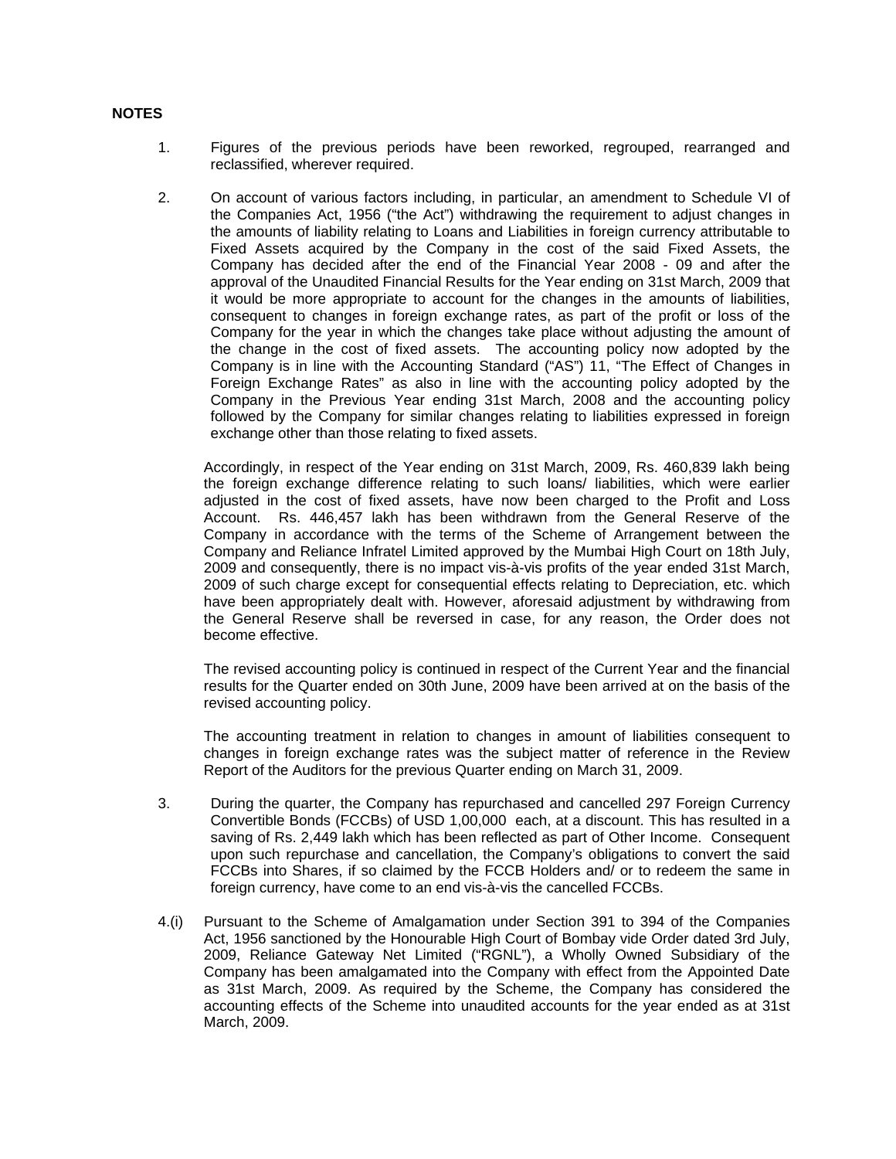## **NOTES**

- 1. Figures of the previous periods have been reworked, regrouped, rearranged and reclassified, wherever required.
- 2. On account of various factors including, in particular, an amendment to Schedule VI of the Companies Act, 1956 ("the Act") withdrawing the requirement to adjust changes in the amounts of liability relating to Loans and Liabilities in foreign currency attributable to Fixed Assets acquired by the Company in the cost of the said Fixed Assets, the Company has decided after the end of the Financial Year 2008 - 09 and after the approval of the Unaudited Financial Results for the Year ending on 31st March, 2009 that it would be more appropriate to account for the changes in the amounts of liabilities, consequent to changes in foreign exchange rates, as part of the profit or loss of the Company for the year in which the changes take place without adjusting the amount of the change in the cost of fixed assets. The accounting policy now adopted by the Company is in line with the Accounting Standard ("AS") 11, "The Effect of Changes in Foreign Exchange Rates" as also in line with the accounting policy adopted by the Company in the Previous Year ending 31st March, 2008 and the accounting policy followed by the Company for similar changes relating to liabilities expressed in foreign exchange other than those relating to fixed assets.

Accordingly, in respect of the Year ending on 31st March, 2009, Rs. 460,839 lakh being the foreign exchange difference relating to such loans/ liabilities, which were earlier adjusted in the cost of fixed assets, have now been charged to the Profit and Loss Account. Rs. 446,457 lakh has been withdrawn from the General Reserve of the Company in accordance with the terms of the Scheme of Arrangement between the Company and Reliance Infratel Limited approved by the Mumbai High Court on 18th July, 2009 and consequently, there is no impact vis-à-vis profits of the year ended 31st March, 2009 of such charge except for consequential effects relating to Depreciation, etc. which have been appropriately dealt with. However, aforesaid adjustment by withdrawing from the General Reserve shall be reversed in case, for any reason, the Order does not become effective.

The revised accounting policy is continued in respect of the Current Year and the financial results for the Quarter ended on 30th June, 2009 have been arrived at on the basis of the revised accounting policy.

The accounting treatment in relation to changes in amount of liabilities consequent to changes in foreign exchange rates was the subject matter of reference in the Review Report of the Auditors for the previous Quarter ending on March 31, 2009.

- 3. During the quarter, the Company has repurchased and cancelled 297 Foreign Currency Convertible Bonds (FCCBs) of USD 1,00,000 each, at a discount. This has resulted in a saving of Rs. 2,449 lakh which has been reflected as part of Other Income. Consequent upon such repurchase and cancellation, the Company's obligations to convert the said FCCBs into Shares, if so claimed by the FCCB Holders and/ or to redeem the same in foreign currency, have come to an end vis-à-vis the cancelled FCCBs.
- 4.(i) Pursuant to the Scheme of Amalgamation under Section 391 to 394 of the Companies Act, 1956 sanctioned by the Honourable High Court of Bombay vide Order dated 3rd July, 2009, Reliance Gateway Net Limited ("RGNL"), a Wholly Owned Subsidiary of the Company has been amalgamated into the Company with effect from the Appointed Date as 31st March, 2009. As required by the Scheme, the Company has considered the accounting effects of the Scheme into unaudited accounts for the year ended as at 31st March, 2009.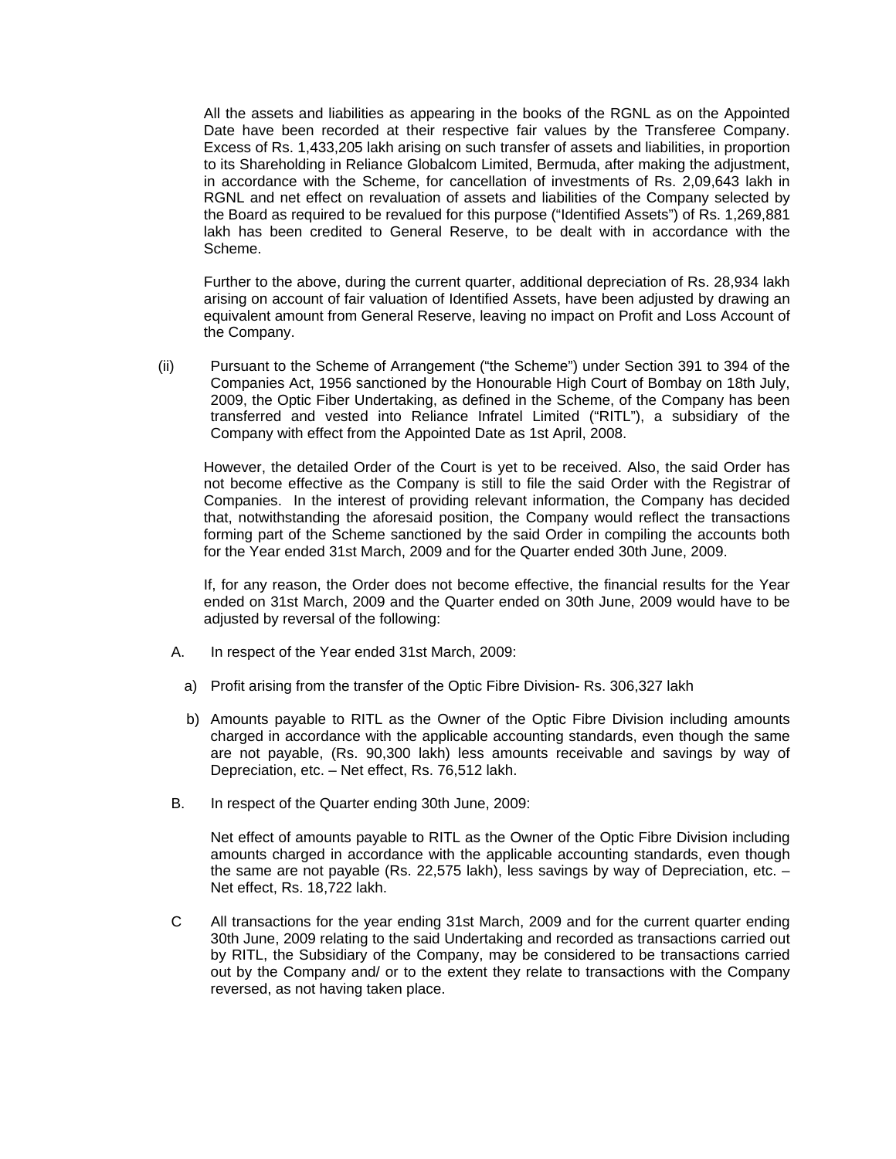All the assets and liabilities as appearing in the books of the RGNL as on the Appointed Date have been recorded at their respective fair values by the Transferee Company. Excess of Rs. 1,433,205 lakh arising on such transfer of assets and liabilities, in proportion to its Shareholding in Reliance Globalcom Limited, Bermuda, after making the adjustment, in accordance with the Scheme, for cancellation of investments of Rs. 2,09,643 lakh in RGNL and net effect on revaluation of assets and liabilities of the Company selected by the Board as required to be revalued for this purpose ("Identified Assets") of Rs. 1,269,881 lakh has been credited to General Reserve, to be dealt with in accordance with the Scheme.

Further to the above, during the current quarter, additional depreciation of Rs. 28,934 lakh arising on account of fair valuation of Identified Assets, have been adjusted by drawing an equivalent amount from General Reserve, leaving no impact on Profit and Loss Account of the Company.

(ii) Pursuant to the Scheme of Arrangement ("the Scheme") under Section 391 to 394 of the Companies Act, 1956 sanctioned by the Honourable High Court of Bombay on 18th July, 2009, the Optic Fiber Undertaking, as defined in the Scheme, of the Company has been transferred and vested into Reliance Infratel Limited ("RITL"), a subsidiary of the Company with effect from the Appointed Date as 1st April, 2008.

However, the detailed Order of the Court is yet to be received. Also, the said Order has not become effective as the Company is still to file the said Order with the Registrar of Companies. In the interest of providing relevant information, the Company has decided that, notwithstanding the aforesaid position, the Company would reflect the transactions forming part of the Scheme sanctioned by the said Order in compiling the accounts both for the Year ended 31st March, 2009 and for the Quarter ended 30th June, 2009.

If, for any reason, the Order does not become effective, the financial results for the Year ended on 31st March, 2009 and the Quarter ended on 30th June, 2009 would have to be adjusted by reversal of the following:

- A. In respect of the Year ended 31st March, 2009:
	- a) Profit arising from the transfer of the Optic Fibre Division- Rs. 306,327 lakh
	- b) Amounts payable to RITL as the Owner of the Optic Fibre Division including amounts charged in accordance with the applicable accounting standards, even though the same are not payable, (Rs. 90,300 lakh) less amounts receivable and savings by way of Depreciation, etc. – Net effect, Rs. 76,512 lakh.
- B. In respect of the Quarter ending 30th June, 2009:

Net effect of amounts payable to RITL as the Owner of the Optic Fibre Division including amounts charged in accordance with the applicable accounting standards, even though the same are not payable (Rs. 22,575 lakh), less savings by way of Depreciation, etc. – Net effect, Rs. 18,722 lakh.

C All transactions for the year ending 31st March, 2009 and for the current quarter ending 30th June, 2009 relating to the said Undertaking and recorded as transactions carried out by RITL, the Subsidiary of the Company, may be considered to be transactions carried out by the Company and/ or to the extent they relate to transactions with the Company reversed, as not having taken place.